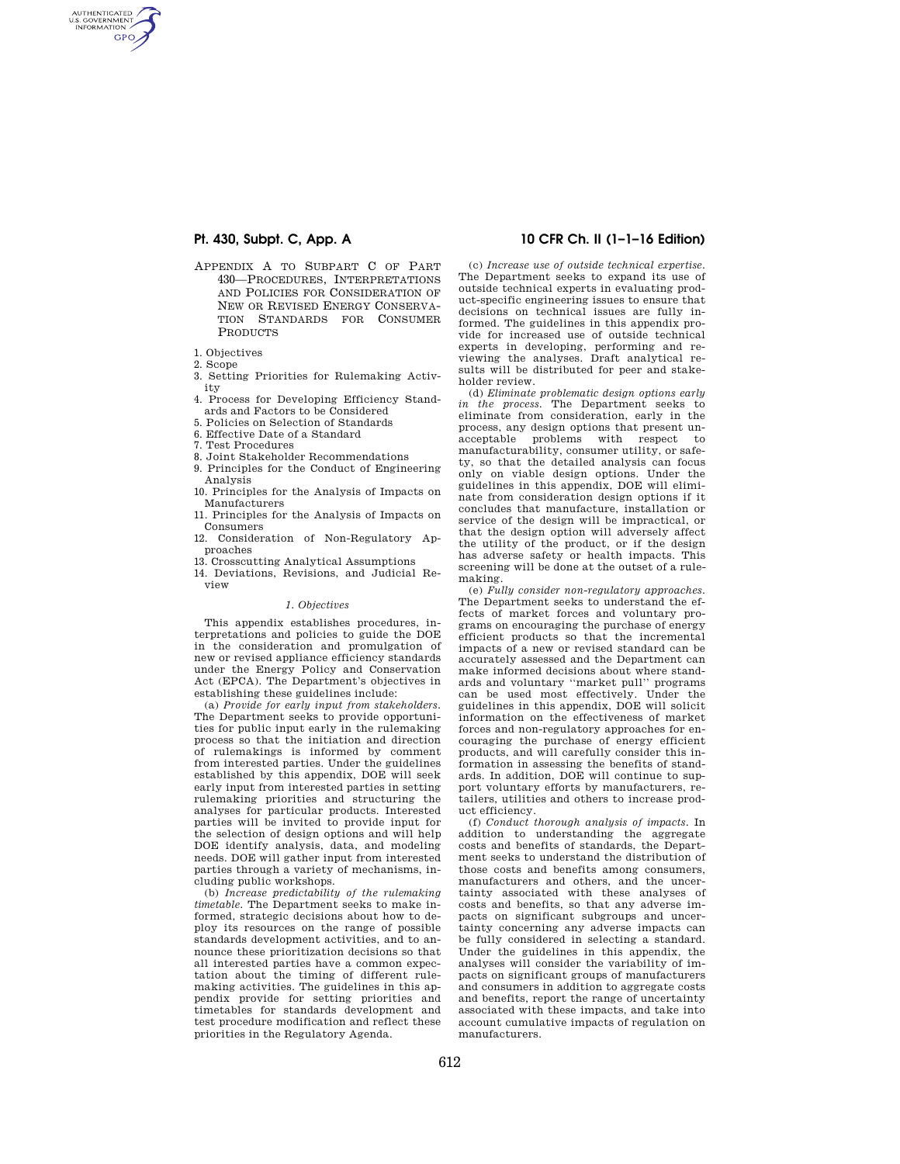- APPENDIX A TO SUBPART C OF PART 430—PROCEDURES, INTERPRETATIONS AND POLICIES FOR CONSIDERATION OF NEW OR REVISED ENERGY CONSERVA-TION STANDARDS FOR CONSUMER **PRODUCTS**
- 1. Objectives

AUTHENTICATED<br>U.S. GOVERNMENT<br>INFORMATION GPO

- 2. Scope
- 3. Setting Priorities for Rulemaking Activity
- 4. Process for Developing Efficiency Standards and Factors to be Considered
- 5. Policies on Selection of Standards
- 6. Effective Date of a Standard
- 7. Test Procedures
- 8. Joint Stakeholder Recommendations 9. Principles for the Conduct of Engineering Analysis
- 10. Principles for the Analysis of Impacts on Manufacturers
- 11. Principles for the Analysis of Impacts on Consumers
- 12. Consideration of Non-Regulatory Approaches
- 13. Crosscutting Analytical Assumptions
- 14. Deviations, Revisions, and Judicial Review

## *1. Objectives*

This appendix establishes procedures, interpretations and policies to guide the DOE in the consideration and promulgation of new or revised appliance efficiency standards under the Energy Policy and Conservation Act (EPCA). The Department's objectives in establishing these guidelines include:

(a) *Provide for early input from stakeholders.*  The Department seeks to provide opportunities for public input early in the rulemaking process so that the initiation and direction of rulemakings is informed by comment from interested parties. Under the guidelines established by this appendix, DOE will seek early input from interested parties in setting rulemaking priorities and structuring the analyses for particular products. Interested parties will be invited to provide input for the selection of design options and will help DOE identify analysis, data, and modeling needs. DOE will gather input from interested parties through a variety of mechanisms, including public workshops.

(b) *Increase predictability of the rulemaking timetable.* The Department seeks to make informed, strategic decisions about how to deploy its resources on the range of possible standards development activities, and to announce these prioritization decisions so that all interested parties have a common expectation about the timing of different rulemaking activities. The guidelines in this appendix provide for setting priorities and timetables for standards development and test procedure modification and reflect these priorities in the Regulatory Agenda.

# **Pt. 430, Subpt. C, App. A 10 CFR Ch. II (1–1–16 Edition)**

(c) *Increase use of outside technical expertise.*  The Department seeks to expand its use of outside technical experts in evaluating product-specific engineering issues to ensure that decisions on technical issues are fully informed. The guidelines in this appendix provide for increased use of outside technical experts in developing, performing and re-viewing the analyses. Draft analytical results will be distributed for peer and stakeholder review.

(d) *Eliminate problematic design options early in the process.* The Department seeks to eliminate from consideration, early in the process, any design options that present unacceptable problems with respect to manufacturability, consumer utility, or safety, so that the detailed analysis can focus only on viable design options. Under the guidelines in this appendix, DOE will eliminate from consideration design options if it concludes that manufacture, installation or service of the design will be impractical, or that the design option will adversely affect the utility of the product, or if the design has adverse safety or health impacts. This screening will be done at the outset of a rulemaking.

(e) *Fully consider non-regulatory approaches.*  The Department seeks to understand the effects of market forces and voluntary programs on encouraging the purchase of energy efficient products so that the incremental impacts of a new or revised standard can be accurately assessed and the Department can make informed decisions about where standards and voluntary ''market pull'' programs can be used most effectively. Under the guidelines in this appendix, DOE will solicit information on the effectiveness of market forces and non-regulatory approaches for encouraging the purchase of energy efficient products, and will carefully consider this information in assessing the benefits of standards. In addition, DOE will continue to support voluntary efforts by manufacturers, retailers, utilities and others to increase product efficiency.

(f) *Conduct thorough analysis of impacts.* In addition to understanding the aggregate costs and benefits of standards, the Department seeks to understand the distribution of those costs and benefits among consumers, manufacturers and others, and the uncertainty associated with these analyses of costs and benefits, so that any adverse impacts on significant subgroups and uncertainty concerning any adverse impacts can be fully considered in selecting a standard. Under the guidelines in this appendix, the analyses will consider the variability of impacts on significant groups of manufacturers and consumers in addition to aggregate costs and benefits, report the range of uncertainty associated with these impacts, and take into account cumulative impacts of regulation on manufacturers.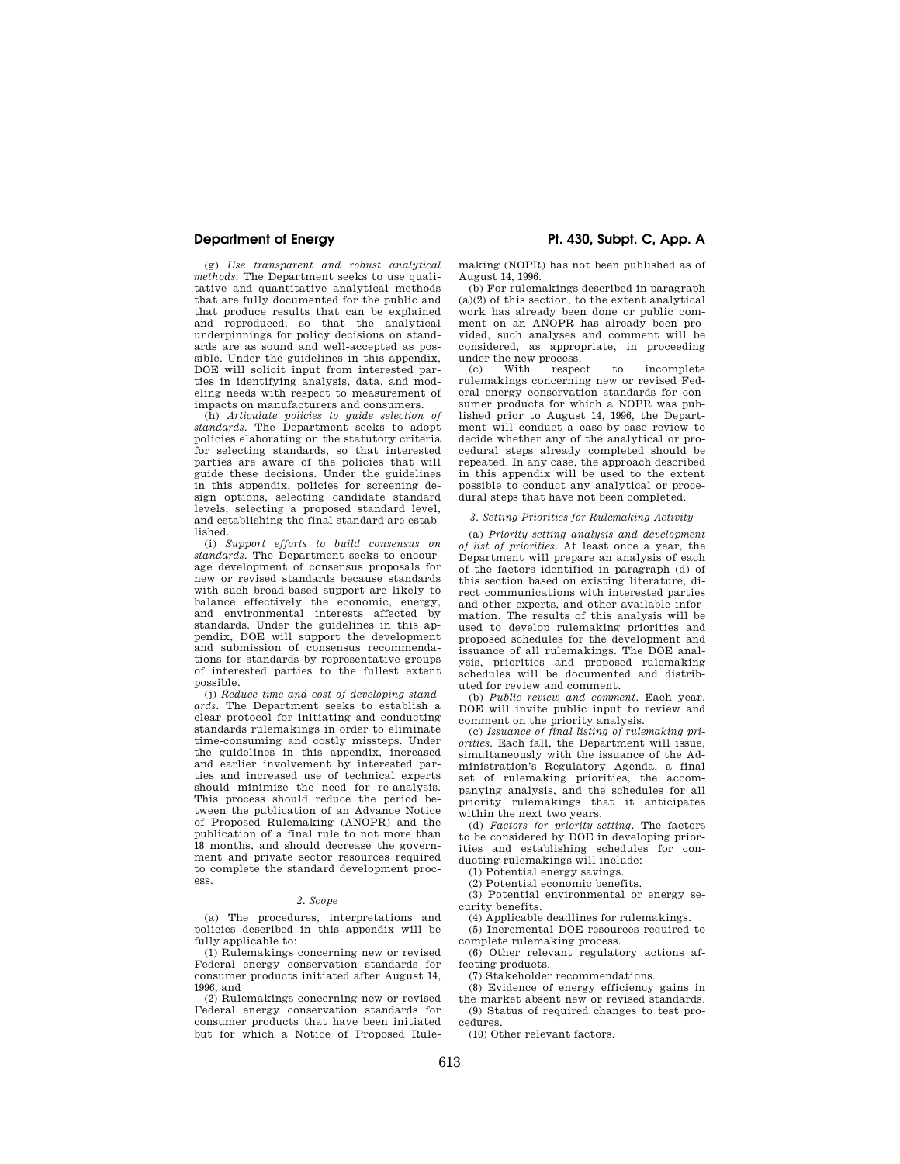(g) *Use transparent and robust analytical methods.* The Department seeks to use qualitative and quantitative analytical methods that are fully documented for the public and that produce results that can be explained and reproduced, so that the analytical underpinnings for policy decisions on standards are as sound and well-accepted as possible. Under the guidelines in this appendix, DOE will solicit input from interested parties in identifying analysis, data, and modeling needs with respect to measurement of impacts on manufacturers and consumers.

(h) *Articulate policies to guide selection of standards.* The Department seeks to adopt policies elaborating on the statutory criteria for selecting standards, so that interested parties are aware of the policies that will guide these decisions. Under the guidelines in this appendix, policies for screening design options, selecting candidate standard levels, selecting a proposed standard level, and establishing the final standard are established.

(i) *Support efforts to build consensus on standards.* The Department seeks to encourage development of consensus proposals for new or revised standards because standards with such broad-based support are likely to balance effectively the economic, energy, and environmental interests affected by standards. Under the guidelines in this appendix, DOE will support the development and submission of consensus recommendations for standards by representative groups of interested parties to the fullest extent possible.

(j) *Reduce time and cost of developing standards.* The Department seeks to establish a clear protocol for initiating and conducting standards rulemakings in order to eliminate time-consuming and costly missteps. Under the guidelines in this appendix, increased and earlier involvement by interested parties and increased use of technical experts should minimize the need for re-analysis. This process should reduce the period between the publication of an Advance Notice of Proposed Rulemaking (ANOPR) and the publication of a final rule to not more than 18 months, and should decrease the government and private sector resources required to complete the standard development process.

### *2. Scope*

(a) The procedures, interpretations and policies described in this appendix will be fully applicable to:

(1) Rulemakings concerning new or revised Federal energy conservation standards for consumer products initiated after August 14, 1996, and

(2) Rulemakings concerning new or revised Federal energy conservation standards for consumer products that have been initiated but for which a Notice of Proposed Rule-

**Department of Energy Pt. 430, Subpt. C, App. A** 

making (NOPR) has not been published as of August 14, 1996.

(b) For rulemakings described in paragraph  $(a)(2)$  of this section, to the extent analytical work has already been done or public comment on an ANOPR has already been provided, such analyses and comment will be considered, as appropriate, in proceeding under the new process.

(c) With respect to incomplete rulemakings concerning new or revised Federal energy conservation standards for consumer products for which a NOPR was published prior to August 14, 1996, the Department will conduct a case-by-case review to decide whether any of the analytical or procedural steps already completed should be repeated. In any case, the approach described in this appendix will be used to the extent possible to conduct any analytical or procedural steps that have not been completed.

## *3. Setting Priorities for Rulemaking Activity*

(a) *Priority-setting analysis and development of list of priorities.* At least once a year, the Department will prepare an analysis of each of the factors identified in paragraph (d) of this section based on existing literature, direct communications with interested parties and other experts, and other available information. The results of this analysis will be used to develop rulemaking priorities and proposed schedules for the development and issuance of all rulemakings. The DOE analysis, priorities and proposed rulemaking schedules will be documented and distributed for review and comment.

(b) *Public review and comment.* Each year, DOE will invite public input to review and comment on the priority analysis.

(c) *Issuance of final listing of rulemaking priorities.* Each fall, the Department will issue, simultaneously with the issuance of the Administration's Regulatory Agenda, a final set of rulemaking priorities, the accompanying analysis, and the schedules for all priority rulemakings that it anticipates within the next two years.

(d) *Factors for priority-setting.* The factors to be considered by DOE in developing priorities and establishing schedules for conducting rulemakings will include:

(1) Potential energy savings.

(2) Potential economic benefits.

(3) Potential environmental or energy security benefits.

(4) Applicable deadlines for rulemakings. (5) Incremental DOE resources required to

complete rulemaking process. (6) Other relevant regulatory actions affecting products.

(7) Stakeholder recommendations.

(8) Evidence of energy efficiency gains in the market absent new or revised standards.

(9) Status of required changes to test procedures.

(10) Other relevant factors.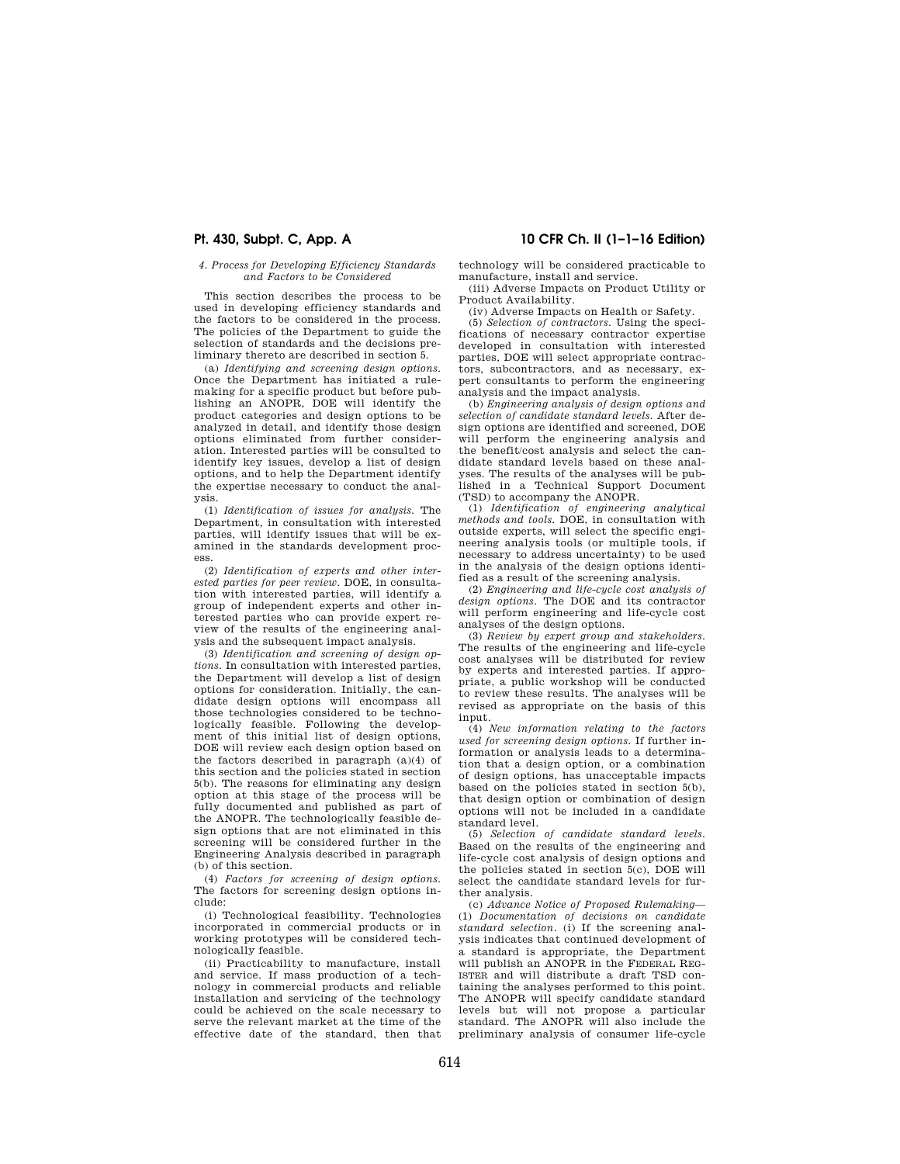### *4. Process for Developing Efficiency Standards and Factors to be Considered*

This section describes the process to be used in developing efficiency standards and the factors to be considered in the process. The policies of the Department to guide the selection of standards and the decisions preliminary thereto are described in section 5.

(a) *Identifying and screening design options.*  Once the Department has initiated a rulemaking for a specific product but before publishing an ANOPR, DOE will identify the product categories and design options to be analyzed in detail, and identify those design options eliminated from further consideration. Interested parties will be consulted to identify key issues, develop a list of design options, and to help the Department identify the expertise necessary to conduct the analysis.

(1) *Identification of issues for analysis.* The Department, in consultation with interested parties, will identify issues that will be examined in the standards development process.

(2) *Identification of experts and other interested parties for peer review.* DOE, in consultation with interested parties, will identify a group of independent experts and other interested parties who can provide expert review of the results of the engineering analysis and the subsequent impact analysis.

(3) *Identification and screening of design options.* In consultation with interested parties, the Department will develop a list of design options for consideration. Initially, the candidate design options will encompass all those technologies considered to be technologically feasible. Following the development of this initial list of design options, DOE will review each design option based on the factors described in paragraph (a)(4) of this section and the policies stated in section 5(b). The reasons for eliminating any design option at this stage of the process will be fully documented and published as part of the ANOPR. The technologically feasible design options that are not eliminated in this screening will be considered further in the Engineering Analysis described in paragraph (b) of this section.

(4) *Factors for screening of design options.*  The factors for screening design options include:

(i) Technological feasibility. Technologies incorporated in commercial products or in working prototypes will be considered technologically feasible.

(ii) Practicability to manufacture, install and service. If mass production of a technology in commercial products and reliable installation and servicing of the technology could be achieved on the scale necessary to serve the relevant market at the time of the effective date of the standard, then that

# **Pt. 430, Subpt. C, App. A 10 CFR Ch. II (1–1–16 Edition)**

technology will be considered practicable to manufacture, install and service. (iii) Adverse Impacts on Product Utility or

Product Availability.

(iv) Adverse Impacts on Health or Safety. (5) *Selection of contractors.* Using the specifications of necessary contractor expertise developed in consultation with interested parties, DOE will select appropriate contractors, subcontractors, and as necessary, expert consultants to perform the engineering analysis and the impact analysis.

(b) *Engineering analysis of design options and selection of candidate standard levels.* After design options are identified and screened, DOE will perform the engineering analysis and the benefit/cost analysis and select the candidate standard levels based on these analyses. The results of the analyses will be published in a Technical Support Document (TSD) to accompany the ANOPR.

(1) *Identification of engineering analytical methods and tools.* DOE, in consultation with outside experts, will select the specific engineering analysis tools (or multiple tools, if necessary to address uncertainty) to be used in the analysis of the design options identified as a result of the screening analysis.

(2) *Engineering and life-cycle cost analysis of design options.* The DOE and its contractor will perform engineering and life-cycle cost analyses of the design options.

(3) *Review by expert group and stakeholders.*  The results of the engineering and life-cycle cost analyses will be distributed for review by experts and interested parties. If appropriate, a public workshop will be conducted to review these results. The analyses will be revised as appropriate on the basis of this input.

(4) *New information relating to the factors used for screening design options.* If further information or analysis leads to a determination that a design option, or a combination of design options, has unacceptable impacts based on the policies stated in section 5(b), that design option or combination of design options will not be included in a candidate standard level.

(5) *Selection of candidate standard levels.*  Based on the results of the engineering and life-cycle cost analysis of design options and the policies stated in section 5(c), DOE will select the candidate standard levels for further analysis.

(c) *Advance Notice of Proposed Rulemaking*— (1) *Documentation of decisions on candidate standard selection.* (i) If the screening analysis indicates that continued development of a standard is appropriate, the Department will publish an ANOPR in the FEDERAL REG-ISTER and will distribute a draft TSD containing the analyses performed to this point. The ANOPR will specify candidate standard levels but will not propose a particular standard. The ANOPR will also include the preliminary analysis of consumer life-cycle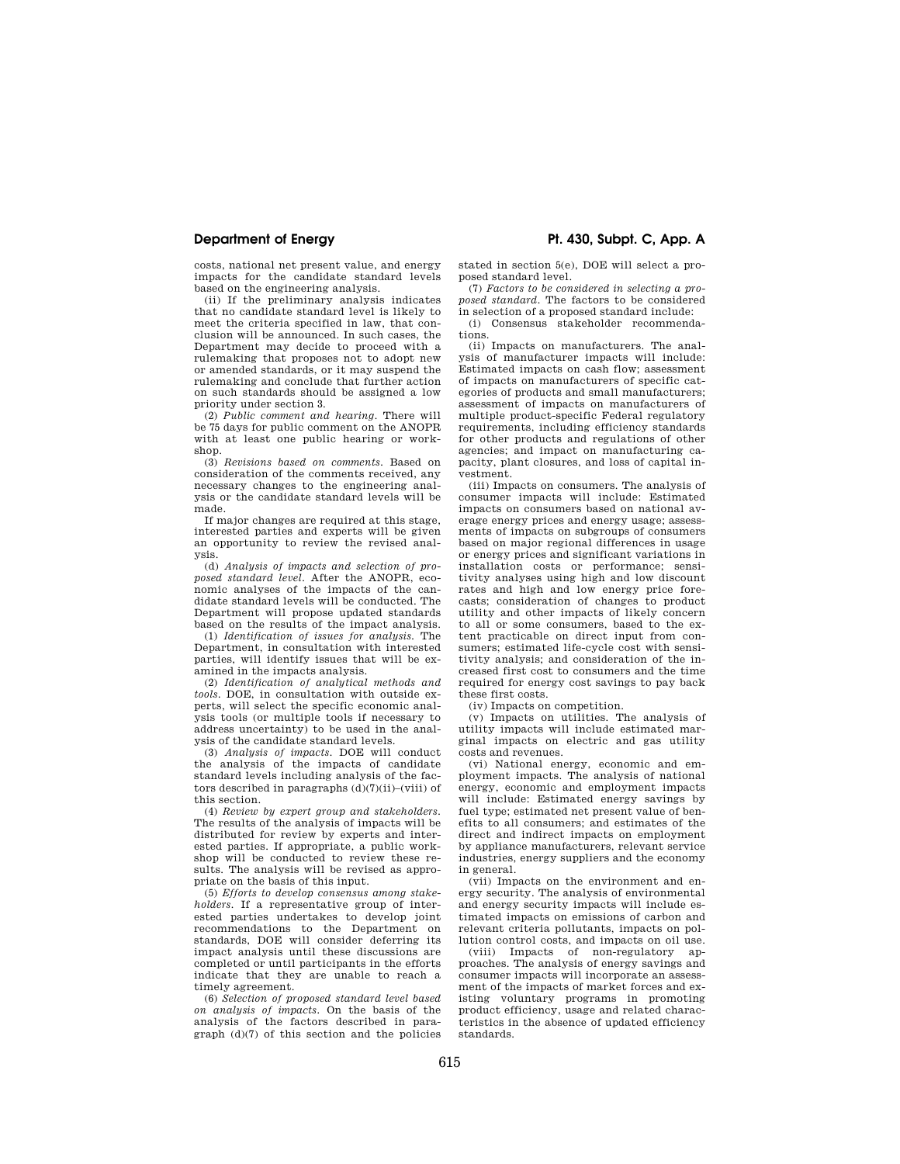costs, national net present value, and energy impacts for the candidate standard levels based on the engineering analysis.

(ii) If the preliminary analysis indicates that no candidate standard level is likely to meet the criteria specified in law, that conclusion will be announced. In such cases, the Department may decide to proceed with a rulemaking that proposes not to adopt new or amended standards, or it may suspend the rulemaking and conclude that further action on such standards should be assigned a low priority under section 3.

(2) *Public comment and hearing.* There will be 75 days for public comment on the ANOPR with at least one public hearing or workshop.

(3) *Revisions based on comments.* Based on consideration of the comments received, any necessary changes to the engineering analysis or the candidate standard levels will be made.

If major changes are required at this stage, interested parties and experts will be given an opportunity to review the revised analysis.

(d) *Analysis of impacts and selection of proposed standard level.* After the ANOPR, economic analyses of the impacts of the candidate standard levels will be conducted. The Department will propose updated standards based on the results of the impact analysis.

(1) *Identification of issues for analysis.* The Department, in consultation with interested parties, will identify issues that will be examined in the impacts analysis.

(2) *Identification of analytical methods and tools.* DOE, in consultation with outside experts, will select the specific economic analysis tools (or multiple tools if necessary to address uncertainty) to be used in the analysis of the candidate standard levels.

(3) *Analysis of impacts.* DOE will conduct the analysis of the impacts of candidate standard levels including analysis of the factors described in paragraphs  $(d)(7)(ii)$ –(viii) of this section.

(4) *Review by expert group and stakeholders.*  The results of the analysis of impacts will be distributed for review by experts and interested parties. If appropriate, a public workshop will be conducted to review these results. The analysis will be revised as appropriate on the basis of this input.

(5) *Efforts to develop consensus among stakeholders.* If a representative group of interested parties undertakes to develop joint recommendations to the Department on standards, DOE will consider deferring its impact analysis until these discussions are completed or until participants in the efforts indicate that they are unable to reach a timely agreement.

(6) *Selection of proposed standard level based on analysis of impacts.* On the basis of the analysis of the factors described in paragraph (d)(7) of this section and the policies

**Department of Energy Pt. 430, Subpt. C, App. A** 

stated in section 5(e), DOE will select a proposed standard level.

(7) *Factors to be considered in selecting a proposed standard.* The factors to be considered in selection of a proposed standard include:

(i) Consensus stakeholder recommendations.

(ii) Impacts on manufacturers. The analysis of manufacturer impacts will include: Estimated impacts on cash flow; assessment of impacts on manufacturers of specific categories of products and small manufacturers; assessment of impacts on manufacturers of multiple product-specific Federal regulatory requirements, including efficiency standards for other products and regulations of other agencies; and impact on manufacturing capacity, plant closures, and loss of capital investment.

(iii) Impacts on consumers. The analysis of consumer impacts will include: Estimated impacts on consumers based on national average energy prices and energy usage; assessments of impacts on subgroups of consumers based on major regional differences in usage or energy prices and significant variations in installation costs or performance; sensitivity analyses using high and low discount rates and high and low energy price forecasts; consideration of changes to product utility and other impacts of likely concern to all or some consumers, based to the extent practicable on direct input from consumers; estimated life-cycle cost with sensitivity analysis; and consideration of the increased first cost to consumers and the time required for energy cost savings to pay back these first costs.

(iv) Impacts on competition.

(v) Impacts on utilities. The analysis of utility impacts will include estimated marginal impacts on electric and gas utility costs and revenues.

(vi) National energy, economic and employment impacts. The analysis of national energy, economic and employment impacts will include: Estimated energy savings by fuel type; estimated net present value of benefits to all consumers; and estimates of the direct and indirect impacts on employment by appliance manufacturers, relevant service industries, energy suppliers and the economy in general.

(vii) Impacts on the environment and energy security. The analysis of environmental and energy security impacts will include estimated impacts on emissions of carbon and relevant criteria pollutants, impacts on pollution control costs, and impacts on oil use.

(viii) Impacts of non-regulatory approaches. The analysis of energy savings and consumer impacts will incorporate an assessment of the impacts of market forces and existing voluntary programs in promoting product efficiency, usage and related characteristics in the absence of updated efficiency standards.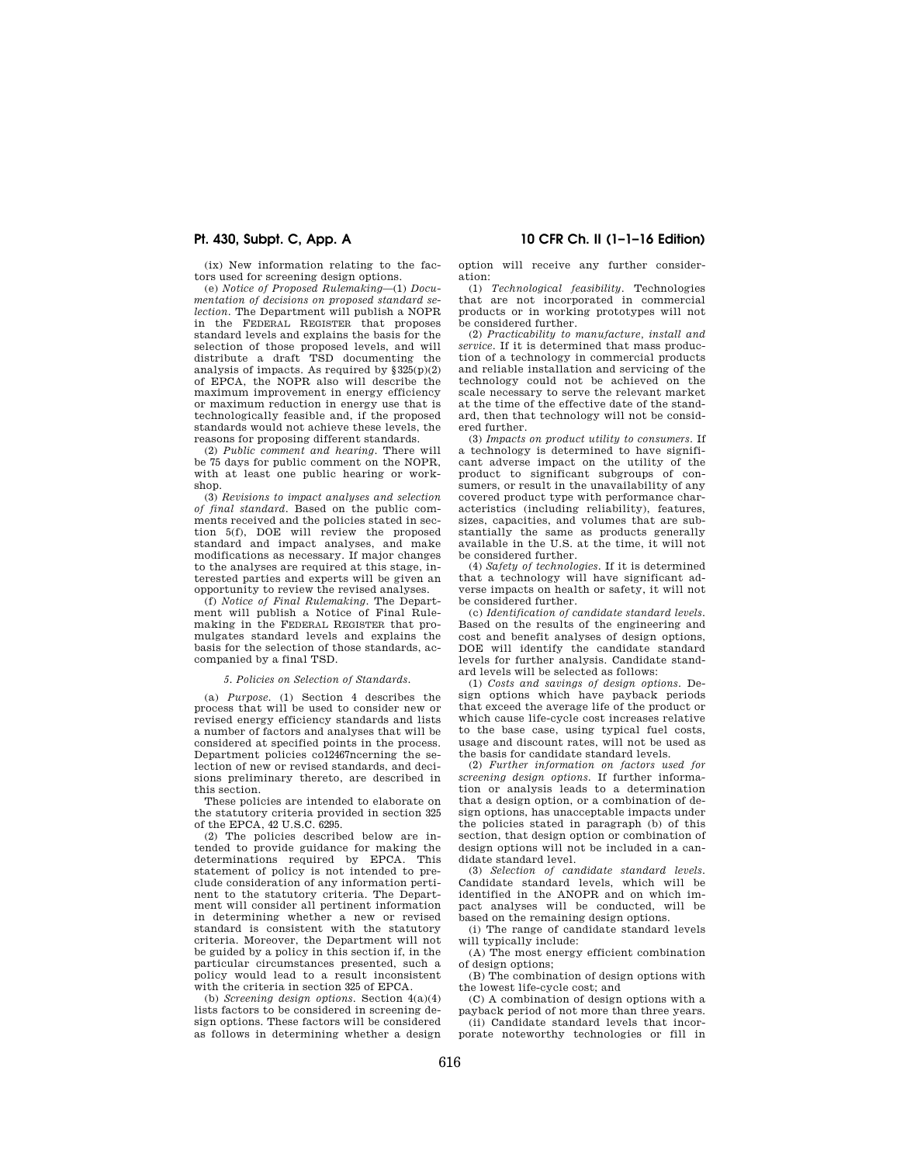(ix) New information relating to the factors used for screening design options.

(e) *Notice of Proposed Rulemaking*—(1) *Documentation of decisions on proposed standard selection.* The Department will publish a NOPR in the FEDERAL REGISTER that proposes standard levels and explains the basis for the selection of those proposed levels, and will distribute a draft TSD documenting the analysis of impacts. As required by  $\S 325(p)(2)$ of EPCA, the NOPR also will describe the maximum improvement in energy efficiency or maximum reduction in energy use that is technologically feasible and, if the proposed standards would not achieve these levels, the reasons for proposing different standards.

(2) *Public comment and hearing.* There will be 75 days for public comment on the NOPR, with at least one public hearing or workshop.

(3) *Revisions to impact analyses and selection of final standard.* Based on the public comments received and the policies stated in section 5(f), DOE will review the proposed standard and impact analyses, and make modifications as necessary. If major changes to the analyses are required at this stage, interested parties and experts will be given an opportunity to review the revised analyses.

(f) *Notice of Final Rulemaking.* The Department will publish a Notice of Final Rulemaking in the FEDERAL REGISTER that promulgates standard levels and explains the basis for the selection of those standards, accompanied by a final TSD.

## *5. Policies on Selection of Standards.*

(a) *Purpose.* (1) Section 4 describes the process that will be used to consider new or revised energy efficiency standards and lists a number of factors and analyses that will be considered at specified points in the process. Department policies co12467ncerning the selection of new or revised standards, and decisions preliminary thereto, are described in this section.

These policies are intended to elaborate on the statutory criteria provided in section 325 of the EPCA, 42 U.S.C. 6295.

(2) The policies described below are intended to provide guidance for making the determinations required by EPCA. This statement of policy is not intended to preclude consideration of any information pertinent to the statutory criteria. The Department will consider all pertinent information in determining whether a new or revised standard is consistent with the statutory criteria. Moreover, the Department will not be guided by a policy in this section if, in the particular circumstances presented, such a policy would lead to a result inconsistent with the criteria in section 325 of EPCA.

(b) *Screening design options.* Section 4(a)(4) lists factors to be considered in screening design options. These factors will be considered as follows in determining whether a design

**Pt. 430, Subpt. C, App. A 10 CFR Ch. II (1–1–16 Edition)** 

option will receive any further consideration:

(1) *Technological feasibility.* Technologies that are not incorporated in commercial products or in working prototypes will not be considered further.

(2) *Practicability to manufacture, install and service.* If it is determined that mass production of a technology in commercial products and reliable installation and servicing of the technology could not be achieved on the scale necessary to serve the relevant market at the time of the effective date of the standard, then that technology will not be considered further.

(3) *Impacts on product utility to consumers.* If a technology is determined to have significant adverse impact on the utility of the product to significant subgroups of consumers, or result in the unavailability of any covered product type with performance characteristics (including reliability), features, sizes, capacities, and volumes that are substantially the same as products generally available in the U.S. at the time, it will not be considered further.

(4) *Safety of technologies.* If it is determined that a technology will have significant adverse impacts on health or safety, it will not be considered further.

(c) *Identification of candidate standard levels.*  Based on the results of the engineering and cost and benefit analyses of design options, DOE will identify the candidate standard levels for further analysis. Candidate standard levels will be selected as follows:

(1) *Costs and savings of design options.* Design options which have payback periods that exceed the average life of the product or which cause life-cycle cost increases relative to the base case, using typical fuel costs, usage and discount rates, will not be used as the basis for candidate standard levels.

(2) *Further information on factors used for screening design options.* If further information or analysis leads to a determination that a design option, or a combination of design options, has unacceptable impacts under the policies stated in paragraph (b) of this section, that design option or combination of design options will not be included in a candidate standard level.

(3) *Selection of candidate standard levels.*  Candidate standard levels, which will be identified in the ANOPR and on which impact analyses will be conducted, will be based on the remaining design options.

(i) The range of candidate standard levels will typically include:

(A) The most energy efficient combination of design options;

(B) The combination of design options with the lowest life-cycle cost; and

(C) A combination of design options with a payback period of not more than three years.

(ii) Candidate standard levels that incorporate noteworthy technologies or fill in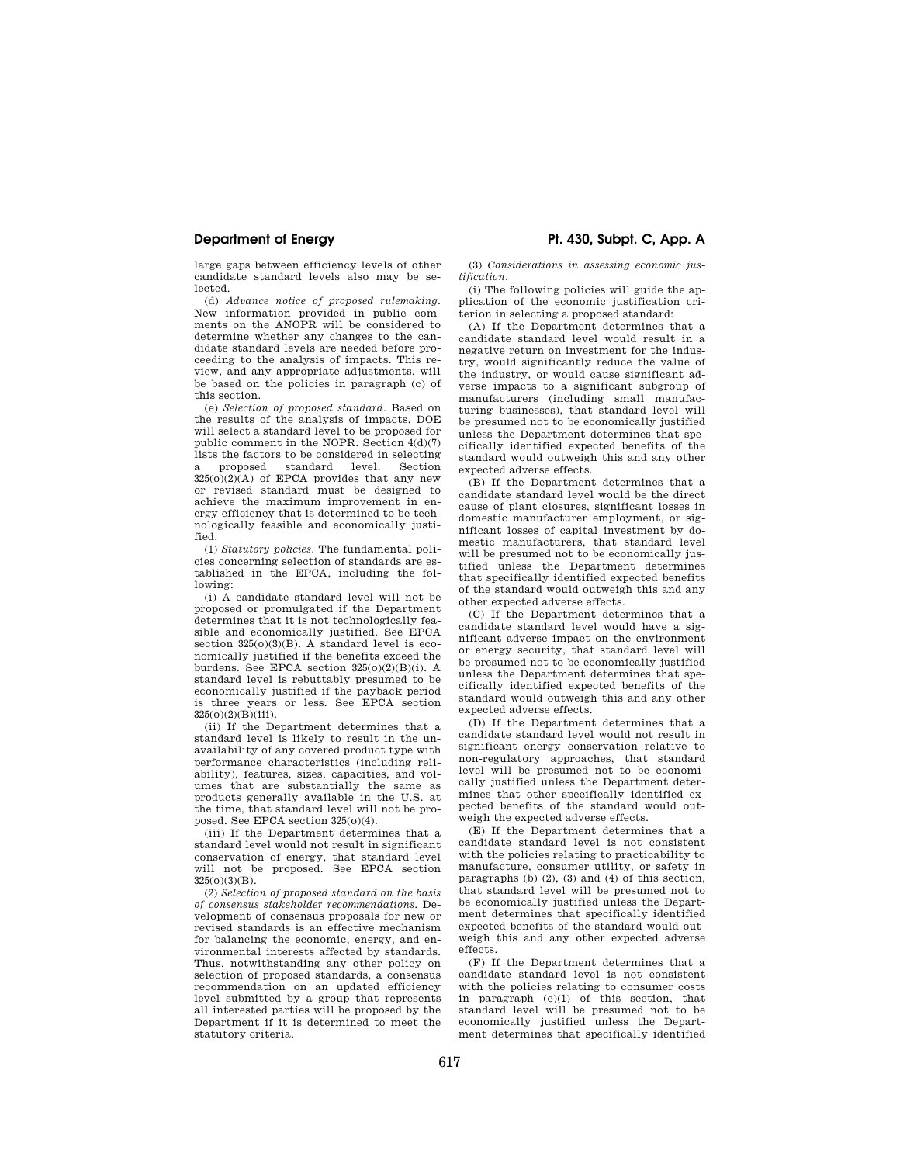large gaps between efficiency levels of other candidate standard levels also may be selected.

(d) *Advance notice of proposed rulemaking.*  New information provided in public comments on the ANOPR will be considered to determine whether any changes to the candidate standard levels are needed before proceeding to the analysis of impacts. This review, and any appropriate adjustments, will be based on the policies in paragraph (c) of this section.

(e) *Selection of proposed standard.* Based on the results of the analysis of impacts, DOE will select a standard level to be proposed for public comment in the NOPR. Section 4(d)(7) lists the factors to be considered in selecting a proposed standard level. Section  $325(0)(2)(A)$  of EPCA provides that any new or revised standard must be designed to achieve the maximum improvement in energy efficiency that is determined to be technologically feasible and economically justified.

(1) *Statutory policies.* The fundamental policies concerning selection of standards are established in the EPCA, including the following:

(i) A candidate standard level will not be proposed or promulgated if the Department determines that it is not technologically feasible and economically justified. See EPCA section 325(o)(3)(B). A standard level is economically justified if the benefits exceed the burdens. See EPCA section 325(o)(2)(B)(i). A standard level is rebuttably presumed to be economically justified if the payback period is three years or less. See EPCA section  $325(0)(2)(B)(iii)$ .

(ii) If the Department determines that a standard level is likely to result in the unavailability of any covered product type with performance characteristics (including reliability), features, sizes, capacities, and volumes that are substantially the same as products generally available in the U.S. at the time, that standard level will not be proposed. See EPCA section 325(o)(4).

(iii) If the Department determines that a standard level would not result in significant conservation of energy, that standard level will not be proposed. See EPCA section  $325(0)(3)(B)$ .

(2) *Selection of proposed standard on the basis of consensus stakeholder recommendations.* Development of consensus proposals for new or revised standards is an effective mechanism for balancing the economic, energy, and environmental interests affected by standards. Thus, notwithstanding any other policy on selection of proposed standards, a consensus recommendation on an updated efficiency level submitted by a group that represents all interested parties will be proposed by the Department if it is determined to meet the statutory criteria.

**Department of Energy Pt. 430, Subpt. C, App. A** 

(3) *Considerations in assessing economic justification.* 

(i) The following policies will guide the application of the economic justification criterion in selecting a proposed standard:

(A) If the Department determines that a candidate standard level would result in a negative return on investment for the industry, would significantly reduce the value of the industry, or would cause significant adverse impacts to a significant subgroup of manufacturers (including small manufacturing businesses), that standard level will be presumed not to be economically justified unless the Department determines that specifically identified expected benefits of the standard would outweigh this and any other expected adverse effects.

(B) If the Department determines that a candidate standard level would be the direct cause of plant closures, significant losses in domestic manufacturer employment, or significant losses of capital investment by domestic manufacturers, that standard level will be presumed not to be economically justified unless the Department determines that specifically identified expected benefits of the standard would outweigh this and any other expected adverse effects.

(C) If the Department determines that a candidate standard level would have a significant adverse impact on the environment or energy security, that standard level will be presumed not to be economically justified unless the Department determines that specifically identified expected benefits of the standard would outweigh this and any other expected adverse effects.

(D) If the Department determines that a candidate standard level would not result in significant energy conservation relative to non-regulatory approaches, that standard level will be presumed not to be economically justified unless the Department determines that other specifically identified expected benefits of the standard would outweigh the expected adverse effects.

(E) If the Department determines that a candidate standard level is not consistent with the policies relating to practicability to manufacture, consumer utility, or safety in paragraphs  $(b)$   $(2)$ ,  $(3)$  and  $(4)$  of this section. that standard level will be presumed not to be economically justified unless the Department determines that specifically identified expected benefits of the standard would outweigh this and any other expected adverse effects.

(F) If the Department determines that a candidate standard level is not consistent with the policies relating to consumer costs in paragraph (c)(1) of this section, that standard level will be presumed not to be economically justified unless the Department determines that specifically identified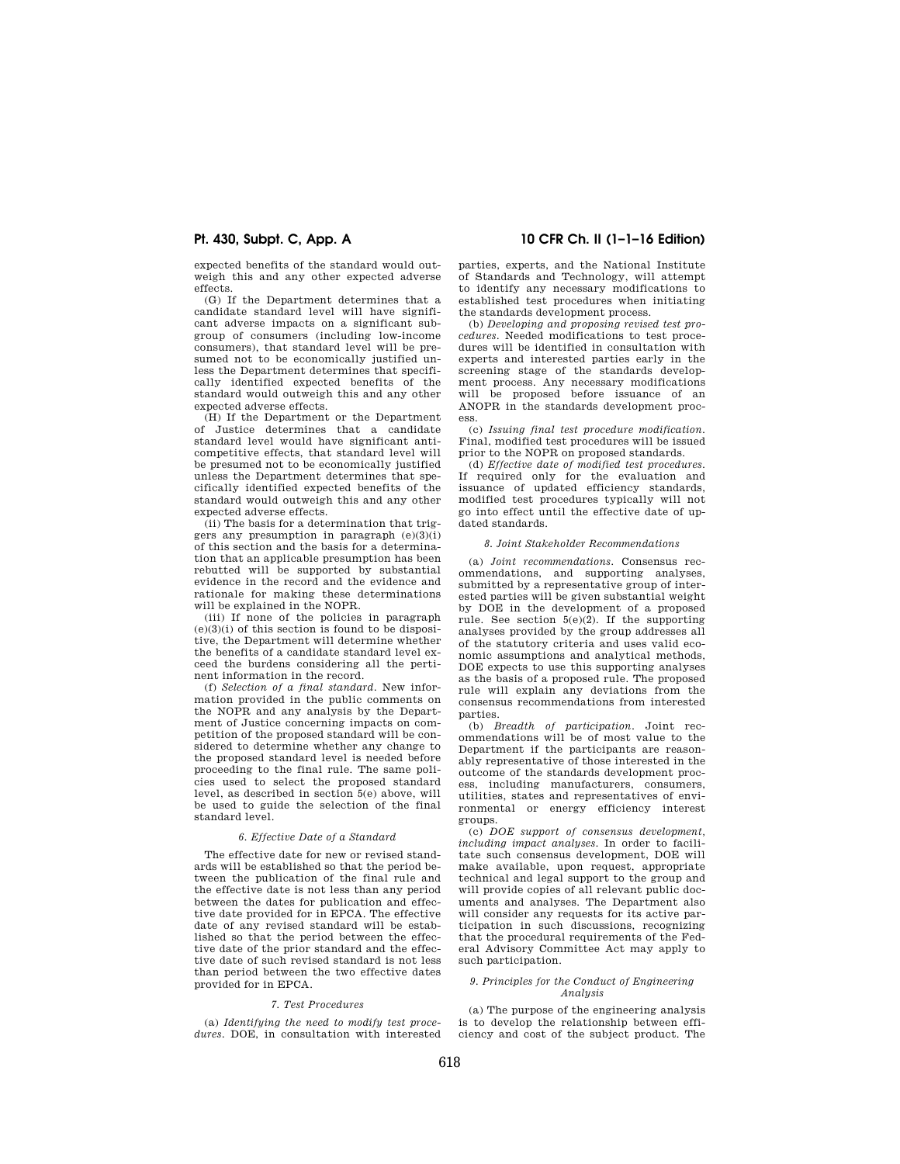expected benefits of the standard would outweigh this and any other expected adverse effects.

(G) If the Department determines that a candidate standard level will have significant adverse impacts on a significant subgroup of consumers (including low-income consumers), that standard level will be presumed not to be economically justified unless the Department determines that specifically identified expected benefits of the standard would outweigh this and any other expected adverse effects.

(H) If the Department or the Department of Justice determines that a candidate standard level would have significant anticompetitive effects, that standard level will be presumed not to be economically justified unless the Department determines that specifically identified expected benefits of the standard would outweigh this and any other expected adverse effects.

(ii) The basis for a determination that triggers any presumption in paragraph (e)(3)(i) of this section and the basis for a determination that an applicable presumption has been rebutted will be supported by substantial evidence in the record and the evidence and rationale for making these determinations will be explained in the NOPR.

(iii) If none of the policies in paragraph  $(e)(3)(i)$  of this section is found to be dispositive, the Department will determine whether the benefits of a candidate standard level exceed the burdens considering all the pertinent information in the record.

(f) *Selection of a final standard.* New information provided in the public comments on the NOPR and any analysis by the Department of Justice concerning impacts on competition of the proposed standard will be considered to determine whether any change to the proposed standard level is needed before proceeding to the final rule. The same policies used to select the proposed standard level, as described in section 5(e) above, will be used to guide the selection of the final standard level.

## *6. Effective Date of a Standard*

The effective date for new or revised standards will be established so that the period between the publication of the final rule and the effective date is not less than any period between the dates for publication and effective date provided for in EPCA. The effective date of any revised standard will be established so that the period between the effective date of the prior standard and the effective date of such revised standard is not less than period between the two effective dates provided for in EPCA.

### *7. Test Procedures*

(a) *Identifying the need to modify test procedures.* DOE, in consultation with interested

**Pt. 430, Subpt. C, App. A 10 CFR Ch. II (1–1–16 Edition)** 

parties, experts, and the National Institute of Standards and Technology, will attempt to identify any necessary modifications to established test procedures when initiating the standards development process.

(b) *Developing and proposing revised test procedures.* Needed modifications to test procedures will be identified in consultation with experts and interested parties early in the screening stage of the standards development process. Any necessary modifications will be proposed before issuance of an ANOPR in the standards development process.

(c) *Issuing final test procedure modification.*  Final, modified test procedures will be issued prior to the NOPR on proposed standards.

(d) *Effective date of modified test procedures.*  If required only for the evaluation and issuance of updated efficiency standards, modified test procedures typically will not go into effect until the effective date of updated standards.

## *8. Joint Stakeholder Recommendations*

(a) *Joint recommendations.* Consensus recommendations, and supporting analyses, submitted by a representative group of interested parties will be given substantial weight by DOE in the development of a proposed rule. See section  $5(e)(2)$ . If the supporting analyses provided by the group addresses all of the statutory criteria and uses valid economic assumptions and analytical methods, DOE expects to use this supporting analyses as the basis of a proposed rule. The proposed rule will explain any deviations from the consensus recommendations from interested parties.

(b) *Breadth of participation.* Joint recommendations will be of most value to the Department if the participants are reasonably representative of those interested in the outcome of the standards development process, including manufacturers, consumers, utilities, states and representatives of environmental or energy efficiency interest groups.

(c) *DOE support of consensus development, including impact analyses.* In order to facilitate such consensus development, DOE will make available, upon request, appropriate technical and legal support to the group and will provide copies of all relevant public documents and analyses. The Department also will consider any requests for its active participation in such discussions, recognizing that the procedural requirements of the Federal Advisory Committee Act may apply to such participation.

### *9. Principles for the Conduct of Engineering Analysis*

(a) The purpose of the engineering analysis is to develop the relationship between efficiency and cost of the subject product. The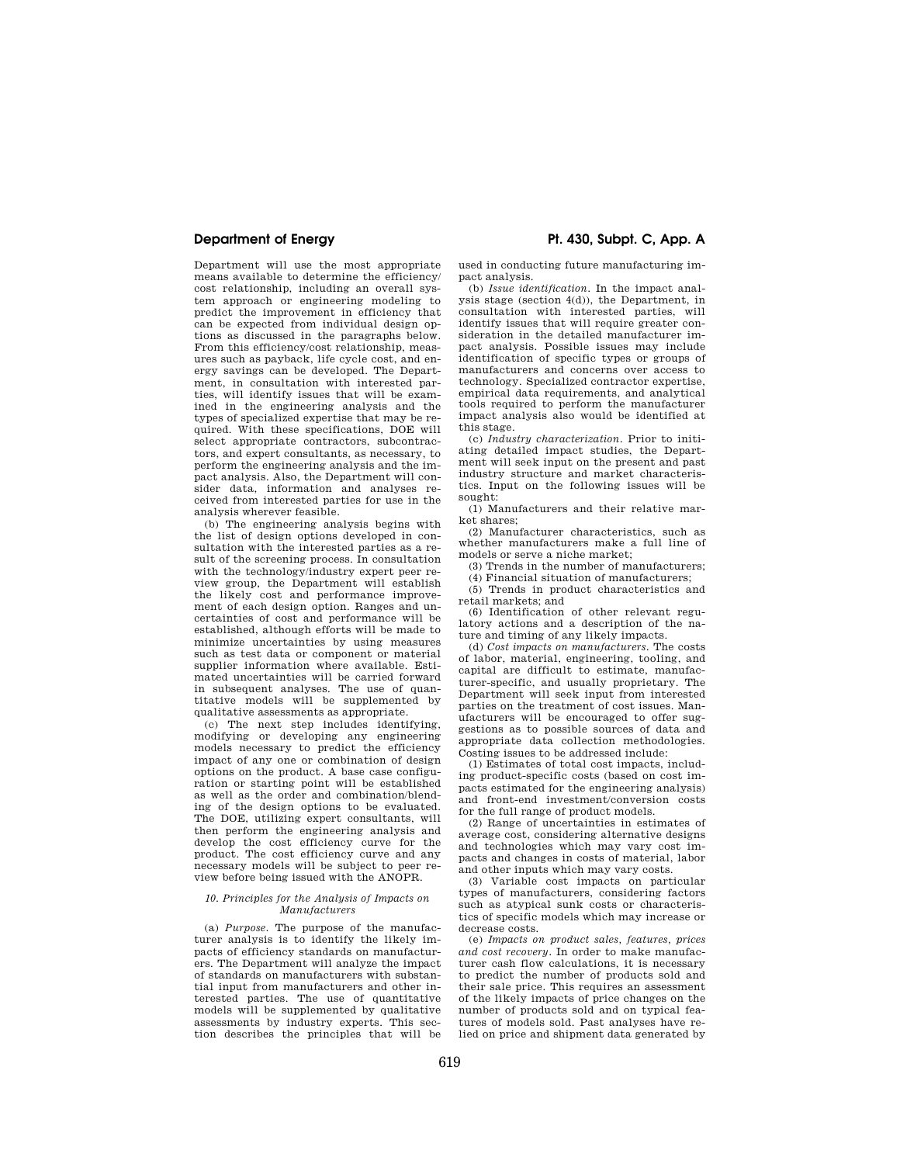Department will use the most appropriate means available to determine the efficiency/ cost relationship, including an overall system approach or engineering modeling to predict the improvement in efficiency that can be expected from individual design options as discussed in the paragraphs below. From this efficiency/cost relationship, measures such as payback, life cycle cost, and energy savings can be developed. The Department, in consultation with interested parties, will identify issues that will be examined in the engineering analysis and the types of specialized expertise that may be required. With these specifications, DOE will select appropriate contractors, subcontractors, and expert consultants, as necessary, to perform the engineering analysis and the impact analysis. Also, the Department will consider data, information and analyses received from interested parties for use in the analysis wherever feasible.

(b) The engineering analysis begins with the list of design options developed in consultation with the interested parties as a result of the screening process. In consultation with the technology/industry expert peer review group, the Department will establish the likely cost and performance improvement of each design option. Ranges and uncertainties of cost and performance will be established, although efforts will be made to minimize uncertainties by using measures such as test data or component or material supplier information where available. Estimated uncertainties will be carried forward in subsequent analyses. The use of quantitative models will be supplemented by qualitative assessments as appropriate.

(c) The next step includes identifying, modifying or developing any engineering models necessary to predict the efficiency impact of any one or combination of design options on the product. A base case configuration or starting point will be established as well as the order and combination/blending of the design options to be evaluated. The DOE, utilizing expert consultants, will then perform the engineering analysis and develop the cost efficiency curve for the product. The cost efficiency curve and any necessary models will be subject to peer review before being issued with the ANOPR.

## *10. Principles for the Analysis of Impacts on Manufacturers*

(a) *Purpose.* The purpose of the manufacturer analysis is to identify the likely impacts of efficiency standards on manufacturers. The Department will analyze the impact of standards on manufacturers with substantial input from manufacturers and other interested parties. The use of quantitative models will be supplemented by qualitative assessments by industry experts. This section describes the principles that will be

# **Department of Energy Pt. 430, Subpt. C, App. A**

used in conducting future manufacturing impact analysis.

(b) *Issue identification.* In the impact analysis stage (section 4(d)), the Department, in consultation with interested parties, will identify issues that will require greater consideration in the detailed manufacturer impact analysis. Possible issues may include identification of specific types or groups of manufacturers and concerns over access to technology. Specialized contractor expertise, empirical data requirements, and analytical tools required to perform the manufacturer impact analysis also would be identified at this stage.

(c) *Industry characterization.* Prior to initiating detailed impact studies, the Department will seek input on the present and past industry structure and market characteristics. Input on the following issues will be sought:

(1) Manufacturers and their relative market shares;

(2) Manufacturer characteristics, such as whether manufacturers make a full line of models or serve a niche market;

(3) Trends in the number of manufacturers;

(4) Financial situation of manufacturers;

(5) Trends in product characteristics and retail markets; and

(6) Identification of other relevant regulatory actions and a description of the nature and timing of any likely impacts.

(d) *Cost impacts on manufacturers.* The costs of labor, material, engineering, tooling, and capital are difficult to estimate, manufacturer-specific, and usually proprietary. The Department will seek input from interested parties on the treatment of cost issues. Manufacturers will be encouraged to offer suggestions as to possible sources of data and appropriate data collection methodologies. Costing issues to be addressed include:

(1) Estimates of total cost impacts, including product-specific costs (based on cost impacts estimated for the engineering analysis) and front-end investment/conversion costs for the full range of product models.

(2) Range of uncertainties in estimates of average cost, considering alternative designs and technologies which may vary cost impacts and changes in costs of material, labor and other inputs which may vary costs.

(3) Variable cost impacts on particular types of manufacturers, considering factors such as atypical sunk costs or characteristics of specific models which may increase or decrease costs.

(e) *Impacts on product sales, features, prices and cost recovery.* In order to make manufacturer cash flow calculations, it is necessary to predict the number of products sold and their sale price. This requires an assessment of the likely impacts of price changes on the number of products sold and on typical features of models sold. Past analyses have relied on price and shipment data generated by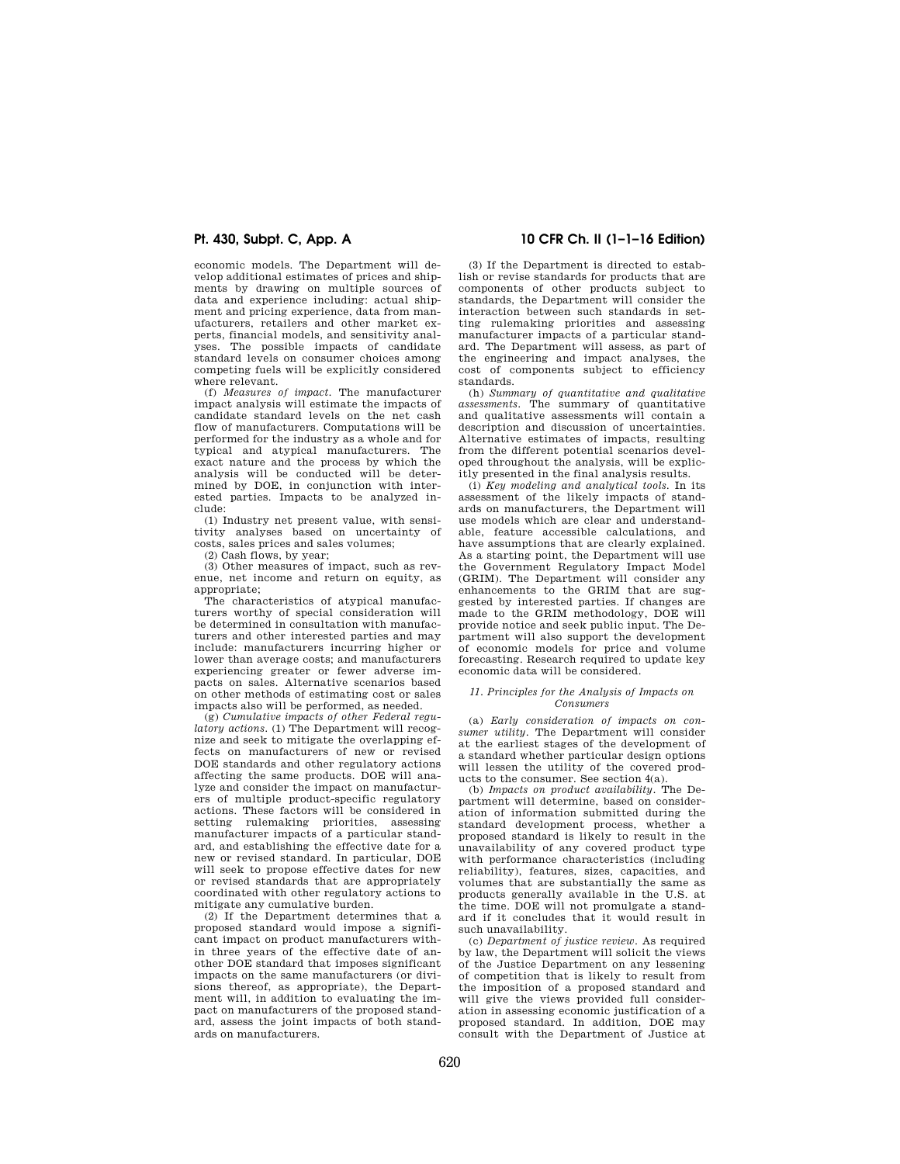economic models. The Department will develop additional estimates of prices and shipments by drawing on multiple sources of data and experience including: actual shipment and pricing experience, data from manufacturers, retailers and other market experts, financial models, and sensitivity analyses. The possible impacts of candidate standard levels on consumer choices among competing fuels will be explicitly considered where relevant.

(f) *Measures of impact.* The manufacturer impact analysis will estimate the impacts of candidate standard levels on the net cash flow of manufacturers. Computations will be performed for the industry as a whole and for typical and atypical manufacturers. The exact nature and the process by which the analysis will be conducted will be determined by DOE, in conjunction with interested parties. Impacts to be analyzed include:

(1) Industry net present value, with sensitivity analyses based on uncertainty of costs, sales prices and sales volumes;

(2) Cash flows, by year;

(3) Other measures of impact, such as revenue, net income and return on equity, as appropriate;

The characteristics of atypical manufacturers worthy of special consideration will be determined in consultation with manufacturers and other interested parties and may include: manufacturers incurring higher or lower than average costs; and manufacturers experiencing greater or fewer adverse impacts on sales. Alternative scenarios based on other methods of estimating cost or sales impacts also will be performed, as needed.

(g) *Cumulative impacts of other Federal regulatory actions.* (1) The Department will recognize and seek to mitigate the overlapping effects on manufacturers of new or revised DOE standards and other regulatory actions affecting the same products. DOE will analyze and consider the impact on manufacturers of multiple product-specific regulatory actions. These factors will be considered in setting rulemaking priorities, assessing manufacturer impacts of a particular standard, and establishing the effective date for a new or revised standard. In particular, DOE will seek to propose effective dates for new or revised standards that are appropriately coordinated with other regulatory actions to mitigate any cumulative burden.

(2) If the Department determines that a proposed standard would impose a significant impact on product manufacturers within three years of the effective date of another DOE standard that imposes significant impacts on the same manufacturers (or divisions thereof, as appropriate), the Department will, in addition to evaluating the impact on manufacturers of the proposed standard, assess the joint impacts of both standards on manufacturers.

# **Pt. 430, Subpt. C, App. A 10 CFR Ch. II (1–1–16 Edition)**

(3) If the Department is directed to establish or revise standards for products that are components of other products subject to standards, the Department will consider the interaction between such standards in setting rulemaking priorities and assessing manufacturer impacts of a particular standard. The Department will assess, as part of the engineering and impact analyses, the cost of components subject to efficiency standards.

(h) *Summary of quantitative and qualitative assessments.* The summary of quantitative and qualitative assessments will contain a description and discussion of uncertainties. Alternative estimates of impacts, resulting from the different potential scenarios developed throughout the analysis, will be explicitly presented in the final analysis results.

(i) *Key modeling and analytical tools.* In its assessment of the likely impacts of standards on manufacturers, the Department will use models which are clear and understandable, feature accessible calculations, and have assumptions that are clearly explained. As a starting point, the Department will use the Government Regulatory Impact Model (GRIM). The Department will consider any enhancements to the GRIM that are suggested by interested parties. If changes are made to the GRIM methodology, DOE will provide notice and seek public input. The Department will also support the development of economic models for price and volume forecasting. Research required to update key economic data will be considered.

## *11. Principles for the Analysis of Impacts on Consumers*

(a) *Early consideration of impacts on consumer utility.* The Department will consider at the earliest stages of the development of a standard whether particular design options will lessen the utility of the covered products to the consumer. See section 4(a).

(b) *Impacts on product availability.* The Department will determine, based on consideration of information submitted during the standard development process, whether a proposed standard is likely to result in the unavailability of any covered product type with performance characteristics (including reliability), features, sizes, capacities, and volumes that are substantially the same as products generally available in the U.S. at the time. DOE will not promulgate a standard if it concludes that it would result in such unavailability.

(c) *Department of justice review.* As required by law, the Department will solicit the views of the Justice Department on any lessening of competition that is likely to result from the imposition of a proposed standard and will give the views provided full consideration in assessing economic justification of a proposed standard. In addition, DOE may consult with the Department of Justice at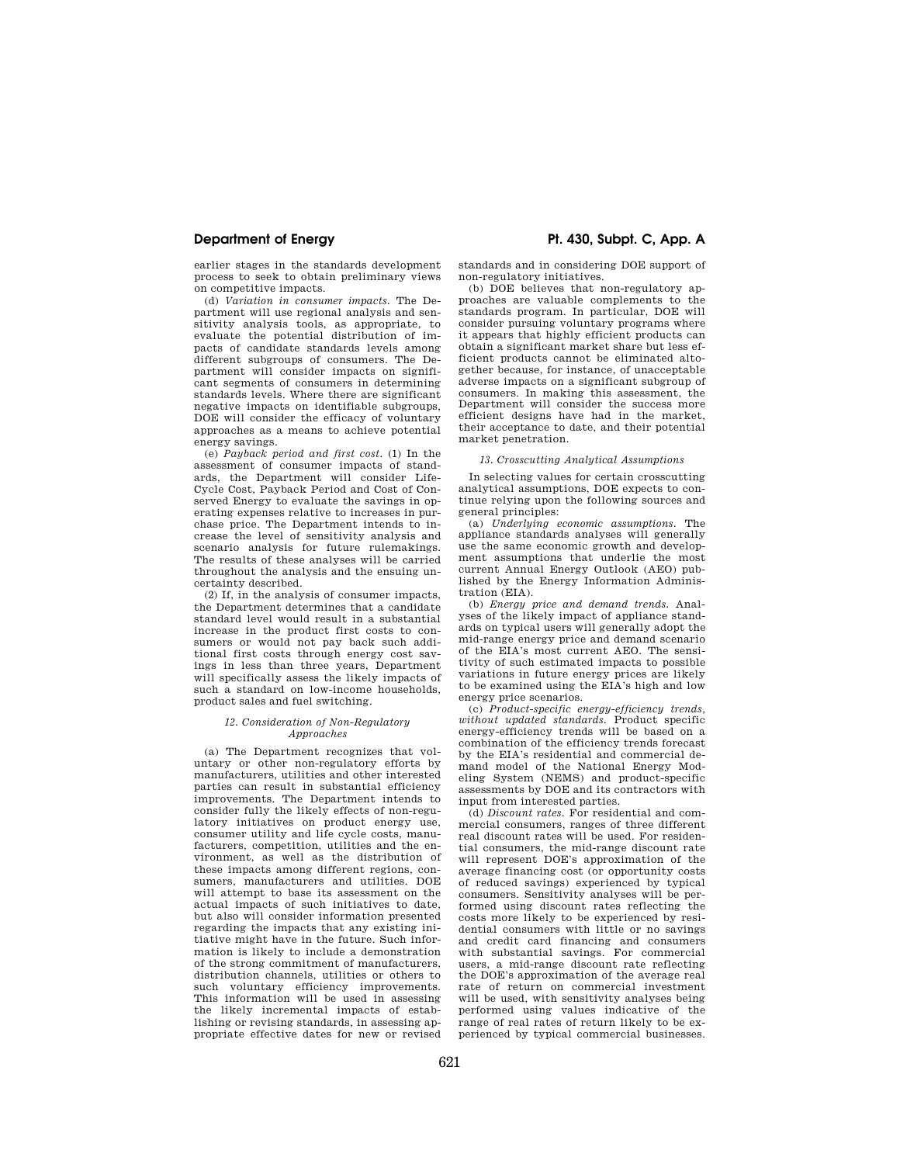earlier stages in the standards development process to seek to obtain preliminary views on competitive impacts.

(d) *Variation in consumer impacts.* The Department will use regional analysis and sensitivity analysis tools, as appropriate, to evaluate the potential distribution of impacts of candidate standards levels among different subgroups of consumers. The Department will consider impacts on significant segments of consumers in determining standards levels. Where there are significant negative impacts on identifiable subgroups, DOE will consider the efficacy of voluntary approaches as a means to achieve potential energy savings.

(e) *Payback period and first cost.* (1) In the assessment of consumer impacts of standards, the Department will consider Life-Cycle Cost, Payback Period and Cost of Conserved Energy to evaluate the savings in operating expenses relative to increases in purchase price. The Department intends to increase the level of sensitivity analysis and scenario analysis for future rulemakings. The results of these analyses will be carried throughout the analysis and the ensuing uncertainty described.

 $(2)$  If, in the analysis of consumer impacts the Department determines that a candidate standard level would result in a substantial increase in the product first costs to consumers or would not pay back such additional first costs through energy cost savings in less than three years, Department will specifically assess the likely impacts of such a standard on low-income households, product sales and fuel switching.

### *12. Consideration of Non-Regulatory Approaches*

(a) The Department recognizes that voluntary or other non-regulatory efforts by manufacturers, utilities and other interested parties can result in substantial efficiency improvements. The Department intends to consider fully the likely effects of non-regulatory initiatives on product energy use, consumer utility and life cycle costs, manufacturers, competition, utilities and the environment, as well as the distribution of these impacts among different regions, consumers, manufacturers and utilities. DOE will attempt to base its assessment on the actual impacts of such initiatives to date, but also will consider information presented regarding the impacts that any existing initiative might have in the future. Such information is likely to include a demonstration of the strong commitment of manufacturers, distribution channels, utilities or others to such voluntary efficiency improvements. This information will be used in assessing the likely incremental impacts of establishing or revising standards, in assessing appropriate effective dates for new or revised

# **Department of Energy Pt. 430, Subpt. C, App. A**

standards and in considering DOE support of non-regulatory initiatives.

(b) DOE believes that non-regulatory approaches are valuable complements to the standards program. In particular, DOE will consider pursuing voluntary programs where it appears that highly efficient products can obtain a significant market share but less efficient products cannot be eliminated altogether because, for instance, of unacceptable adverse impacts on a significant subgroup of consumers. In making this assessment, the Department will consider the success more efficient designs have had in the market, their acceptance to date, and their potential market penetration.

### *13. Crosscutting Analytical Assumptions*

In selecting values for certain crosscutting analytical assumptions, DOE expects to continue relying upon the following sources and general principles:

(a) *Underlying economic assumptions.* The appliance standards analyses will generally use the same economic growth and development assumptions that underlie the most current Annual Energy Outlook (AEO) published by the Energy Information Administration (EIA).

(b) *Energy price and demand trends.* Analyses of the likely impact of appliance standards on typical users will generally adopt the mid-range energy price and demand scenario of the EIA's most current AEO. The sensitivity of such estimated impacts to possible variations in future energy prices are likely to be examined using the EIA's high and low energy price scenarios.

(c) *Product-specific energy-efficiency trends, without updated standards.* Product specific energy-efficiency trends will be based on a combination of the efficiency trends forecast by the EIA's residential and commercial demand model of the National Energy Modeling System (NEMS) and product-specific assessments by DOE and its contractors with input from interested parties.

(d) *Discount rates.* For residential and commercial consumers, ranges of three different real discount rates will be used. For residential consumers, the mid-range discount rate will represent DOE's approximation of the average financing cost (or opportunity costs of reduced savings) experienced by typical consumers. Sensitivity analyses will be performed using discount rates reflecting the costs more likely to be experienced by residential consumers with little or no savings and credit card financing and consumers with substantial savings. For commercial users, a mid-range discount rate reflecting the DOE's approximation of the average real rate of return on commercial investment will be used, with sensitivity analyses being performed using values indicative of the range of real rates of return likely to be experienced by typical commercial businesses.